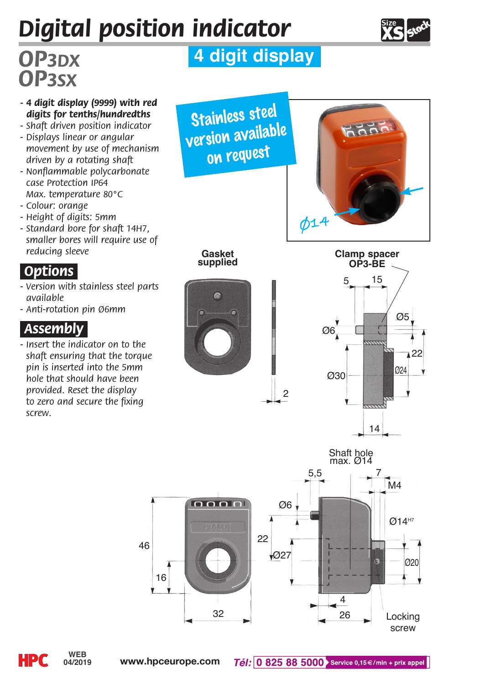# *Digital position indicator*



# *OP3sx*

## *OP3dx* **4 digit display**

- *4 digit display (9999) with red digits for tenths/hundredths*
- *Shaft driven position indicator*
- *Displays linear or angular movement by use of mechanism driven by a rotating shaft*
- *Nonflammable polycarbonate case Protection IP64 Max. temperature 80°C*
- *Colour: orange*
- *Height of digits: 5mm*
- *Standard bore for shaft 14H7, smaller bores will require use of reducing sleeve*

#### *.Options.*

- *Version with stainless steel parts available*
- *Anti-rotation pin Ø6mm*

#### *.Assembly.*

*- Insert the indicator on to the shaft ensuring that the torque pin is inserted into the 5mm hole that should have been provided. Reset the display to zero and secure the fixing screw.*











2

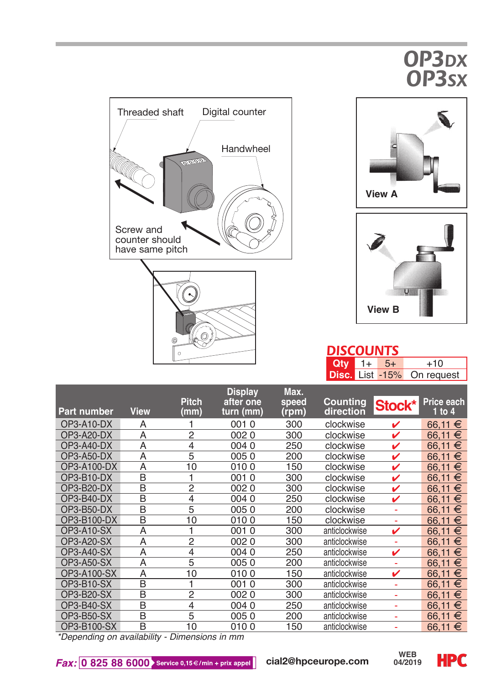## *OP3dx OP3sx*







#### *DISCOUNTS*

| $Qty = 1 + 5 +$ |  | $+10$                      |
|-----------------|--|----------------------------|
|                 |  | Disc. List -15% On request |

|                    |                         | <b>Pitch</b>   | <b>Display</b><br>after one | Max.<br>speed | Counting      | Stock* | Price each |
|--------------------|-------------------------|----------------|-----------------------------|---------------|---------------|--------|------------|
| <b>Part number</b> | <b>View</b>             | (mm)           | turn (mm)                   | (rpm)         | direction     |        | $1$ to $4$ |
| OP3-A10-DX         | Α                       |                | 0010                        | 300           | clockwise     | ✓      | 66.11 €    |
| $OP3-A20-DX$       | A                       | 2              | 0020                        | 300           | clockwise     | ✓      | €<br>66.11 |
| OP3-A40-DX         | A                       | 4              | 0040                        | 250           | clockwise     | v      | 66.11<br>€ |
| OP3-A50-DX         | A                       | 5              | 0050                        | 200           | clockwise     | ✓      | €<br>66.11 |
| OP3-A100-DX        | $\overline{A}$          | 10             | 0100                        | 150           | clockwise     | ✓      | €<br>66.11 |
| $OP3-B10-DX$       | B                       | 1              | 0010                        | 300           | clockwise     | ✓      | €<br>66.11 |
| $OP3-B20-DX$       | B                       | 2              | 0020                        | 300           | clockwise     | ✓      | €<br>66.11 |
| OP3-B40-DX         | B                       | 4              | 0040                        | 250           | clockwise     | ✓      | €<br>66.11 |
| OP3-B50-DX         | B                       | 5              | 0050                        | 200           | clockwise     | ٠      | €<br>66.11 |
| OP3-B100-DX        | B                       | 10             | 0100                        | 150           | clockwise     |        | €<br>66.11 |
| OP3-A10-SX         | A                       | 1              | 0010                        | 300           | anticlockwise | ✓      | €<br>66.11 |
| OP3-A20-SX         | A                       | $\overline{2}$ | 0020                        | 300           | anticlockwise |        | €<br>66.11 |
| <b>OP3-A40-SX</b>  | $\overline{A}$          | $\overline{4}$ | 0040                        | 250           | anticlockwise | v      | €<br>66.11 |
| OP3-A50-SX         | A                       | 5              | 0050                        | 200           | anticlockwise | ٠      | €<br>66.11 |
| OP3-A100-SX        | A                       | 10             | 0100                        | 150           | anticlockwise | ✓      | €<br>66.11 |
| OP3-B10-SX         | B                       | 1              | 0010                        | 300           | anticlockwise |        | 66.11<br>€ |
| OP3-B20-SX         | B                       | $\overline{2}$ | 0020                        | 300           | anticlockwise |        | €<br>66.11 |
| OP3-B40-SX         | $\overline{\mathsf{B}}$ | $\overline{4}$ | 0040                        | 250           | anticlockwise |        | €<br>66.11 |
| OP3-B50-SX         | B                       | 5              | 0050                        | 200           | anticlockwise |        | €<br>66.11 |
| OP3-B100-SX        | B                       | 10             | 0100                        | 150           | anticlockwise |        | €<br>66.11 |

*\*Depending on availability - Dimensions in mm*

 $Fax:$  0 825 88 6000 Service 0,15 €/min + prix appel